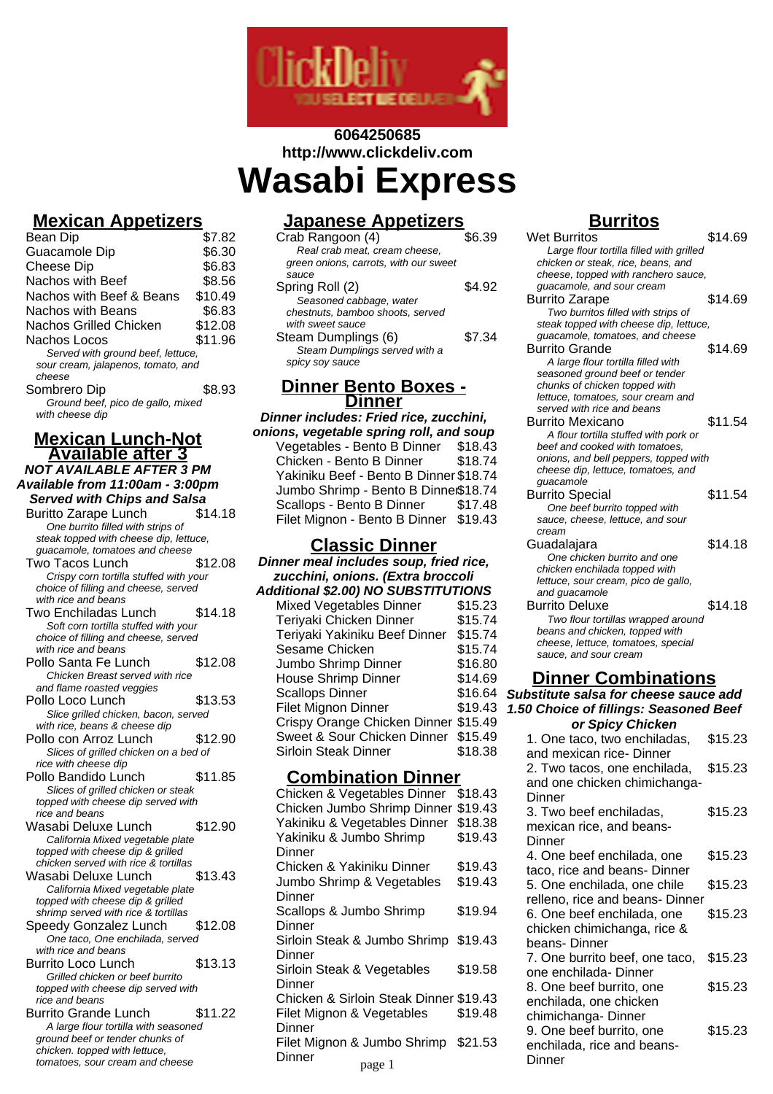

## **6064250685 http://www.clickdeliv.com Wasabi Express**

# **Mexican Appetizers**

Bean Dip<br>Guacamole Dip \$7.82<br>S6.30 Guacamole Dip  $$6.30$ <br>Cheese Dip  $$6.83$ Cheese Dip<br>
Nachos with Beef

\$6.83 Nachos with Beef \$8.56<br>Nachos with Beef & Beans \$10.49 Nachos with Beef & Beans \$10.49<br>Nachos with Beans \$6.83 Nachos with Beans \$6.83<br>Nachos Grilled Chicken \$12.08 Nachos Grilled Chicken \$12.08<br>Nachos Locos \$11.96 Nachos Locos Served with ground beef, lettuce, sour cream, jalapenos, tomato, and cheese Sombrero Dip \$8.93 Ground beef, pico de gallo, mixed with cheese dip

#### **Mexican Lunch-Not Available after 3**

**NOT AVAILABLE AFTER 3 PM Available from 11:00am - 3:00pm Served with Chips and Salsa**

| <b>Buritto Zarape Lunch</b>                                      | \$14.18 |
|------------------------------------------------------------------|---------|
| One burrito filled with strips of                                |         |
| steak topped with cheese dip, lettuce,                           |         |
| guacamole, tomatoes and cheese                                   |         |
| Two Tacos Lunch                                                  | \$12.08 |
| Crispy corn tortilla stuffed with your                           |         |
| choice of filling and cheese, served                             |         |
| with rice and beans                                              |         |
| Two Enchiladas Lunch                                             | \$14.18 |
| Soft corn tortilla stuffed with your                             |         |
| choice of filling and cheese, served                             |         |
| with rice and beans                                              |         |
| Pollo Santa Fe Lunch                                             | \$12.08 |
| Chicken Breast served with rice                                  |         |
| and flame roasted veggies                                        |         |
| Pollo Loco Lunch                                                 | \$13.53 |
| Slice grilled chicken, bacon, served                             |         |
| with rice, beans & cheese dip                                    |         |
| Pollo con Arroz Lunch                                            | \$12.90 |
| Slices of grilled chicken on a bed of                            |         |
| rice with cheese dip                                             |         |
| Pollo Bandido Lunch                                              | \$11.85 |
| Slices of grilled chicken or steak                               |         |
| topped with cheese dip served with                               |         |
| rice and beans                                                   |         |
| Wasabi Deluxe Lunch                                              | \$12.90 |
| California Mixed vegetable plate                                 |         |
| topped with cheese dip & grilled                                 |         |
| chicken served with rice & tortillas                             |         |
| Wasabi Deluxe Lunch                                              | \$13.43 |
| California Mixed vegetable plate                                 |         |
| topped with cheese dip & grilled                                 |         |
| shrimp served with rice & tortillas                              |         |
| Speedy Gonzalez Lunch                                            | \$12.08 |
| One taco, One enchilada, served                                  |         |
| with rice and beans                                              |         |
| Burrito Loco Lunch                                               | \$13.13 |
| Grilled chicken or beef burrito                                  |         |
| topped with cheese dip served with                               |         |
| rice and beans                                                   |         |
| <b>Burrito Grande Lunch</b>                                      | \$11.22 |
|                                                                  |         |
| A large flour tortilla with seasoned                             |         |
| ground beef or tender chunks of                                  |         |
| chicken. topped with lettuce,<br>tomatoes, sour cream and cheese |         |

## **Japanese Appetizers**

| Crab Rangoon (4)                      | ደ6 39  |
|---------------------------------------|--------|
| Real crab meat, cream cheese,         |        |
| green onions, carrots, with our sweet |        |
| sauce                                 |        |
| Spring Roll (2)                       | S4.92  |
| Seasoned cabbage, water               |        |
| chestnuts, bamboo shoots, served      |        |
| with sweet sauce                      |        |
| Steam Dumplings (6)                   | \$7.34 |
| Steam Dumplings served with a         |        |
| spicy soy sauce                       |        |
|                                       |        |

#### **Dinner Bento Boxes - Dinner**

**Dinner includes: Fried rice, zucchini, onions, vegetable spring roll, and soup** Vegetables - Bento B Dinner \$18.43 Chicken - Bento B Dinner \$18.74 Yakiniku Beef - Bento B Dinner \$18.74 Jumbo Shrimp - Bento B Dinner\$18.74 Scallops - Bento B Dinner \$17.48 Filet Mignon - Bento B Dinner \$19.43

#### **Classic Dinner**

**Dinner meal includes soup, fried rice, zucchini, onions. (Extra broccoli Additional \$2.00) NO SUBSTITUTIONS**

| 10100181 \$2.007 ITO 30D31110110110  |         |
|--------------------------------------|---------|
| <b>Mixed Vegetables Dinner</b>       | \$15.23 |
| Teriyaki Chicken Dinner              | \$15.74 |
| Teriyaki Yakiniku Beef Dinner        | \$15.74 |
| Sesame Chicken                       | \$15.74 |
| Jumbo Shrimp Dinner                  | \$16.80 |
| <b>House Shrimp Dinner</b>           | \$14.69 |
| <b>Scallops Dinner</b>               | \$16.64 |
| <b>Filet Mignon Dinner</b>           | \$19.43 |
| Crispy Orange Chicken Dinner \$15.49 |         |
| Sweet & Sour Chicken Dinner          | \$15.49 |
| <b>Sirloin Steak Dinner</b>          | \$18.38 |
|                                      |         |

#### **Combination Dinner**

| Chicken & Vegetables Dinner            | \$18.43 |
|----------------------------------------|---------|
| Chicken Jumbo Shrimp Dinner            | \$19.43 |
| Yakiniku & Vegetables Dinner           | \$18.38 |
| Yakiniku & Jumbo Shrimp                | \$19.43 |
| Dinner                                 |         |
| Chicken & Yakiniku Dinner              | \$19.43 |
| Jumbo Shrimp & Vegetables              | \$19.43 |
| Dinner                                 |         |
| Scallops & Jumbo Shrimp                | \$19.94 |
| Dinner                                 |         |
| Sirloin Steak & Jumbo Shrimp \$19.43   |         |
| Dinner                                 |         |
| Sirloin Steak & Vegetables             | \$19.58 |
| Dinner                                 |         |
| Chicken & Sirloin Steak Dinner \$19.43 |         |
| Filet Mignon & Vegetables              | \$19.48 |
| Dinner                                 |         |
| Filet Mignon & Jumbo Shrimp \$21.53    |         |
| Dinner<br>page 1                       |         |
|                                        |         |

## **Burritos**

| סטו ו ווטש                                             |         |
|--------------------------------------------------------|---------|
| Wet Burritos                                           | \$14.69 |
| Large flour tortilla filled with grilled               |         |
| chicken or steak, rice, beans, and                     |         |
| cheese, topped with ranchero sauce,                    |         |
| guacamole, and sour cream                              |         |
| Burrito Zarape                                         | \$14.69 |
| Two burritos filled with strips of                     |         |
| steak topped with cheese dip, lettuce,                 |         |
| guacamole, tomatoes, and cheese                        |         |
| <b>Burrito Grande</b>                                  | \$14.69 |
| A large flour tortilla filled with                     |         |
| seasoned ground beef or tender                         |         |
| chunks of chicken topped with                          |         |
| lettuce, tomatoes, sour cream and                      |         |
| served with rice and beans                             |         |
| <b>Burrito Mexicano</b>                                | \$11.54 |
| A flour tortilla stuffed with pork or                  |         |
| beef and cooked with tomatoes,                         |         |
| onions, and bell peppers, topped with                  |         |
| cheese dip, lettuce, tomatoes, and                     |         |
| guacamole                                              |         |
| <b>Burrito Special</b>                                 | \$11.54 |
| One beef burrito topped with                           |         |
| sauce, cheese, lettuce, and sour<br>cream              |         |
| Guadalajara                                            | \$14.18 |
| One chicken burrito and one                            |         |
| chicken enchilada topped with                          |         |
| lettuce, sour cream, pico de gallo,                    |         |
| and guacamole                                          |         |
| <b>Burrito Deluxe</b>                                  | \$14.18 |
| Two flour tortillas wrapped around                     |         |
| beans and chicken, topped with                         |         |
| cheese, lettuce, tomatoes, special                     |         |
| sauce, and sour cream                                  |         |
|                                                        |         |
| <b>Dinner Combinations</b>                             |         |
| Substitute salsa for cheese sauce add                  |         |
| 1.50 Choice of fillings: Seasoned Beef                 |         |
| or Spicy Chicken                                       |         |
| 1. One taco, two enchiladas,                           | \$15.23 |
| and mexican rice- Dinner                               |         |
| 2. Two tacos, one enchilada,                           | \$15.23 |
| and one chicken chimichanga-                           |         |
| Dinner                                                 |         |
|                                                        | \$15.23 |
| 3. Two beef enchiladas,                                |         |
| mexican rice, and beans-                               |         |
| Dinner                                                 |         |
|                                                        |         |
| 4. One beef enchilada, one                             | \$15.23 |
|                                                        |         |
| taco, rice and beans- Dinner                           |         |
| 5. One enchilada, one chile                            | \$15.23 |
| relleno, rice and beans- Dinner                        |         |
| 6. One beef enchilada, one                             | \$15.23 |
| chicken chimichanga, rice &                            |         |
| beans-Dinner                                           |         |
| 7. One burrito beef, one taco,<br>no opehilada. Dinner | \$15.23 |

one enchilada- Dinner 8. One beef burrito, one enchilada, one chicken chimichanga- Dinner \$15.23 9. One beef burrito, one enchilada, rice and beans-**Dinner** \$15.23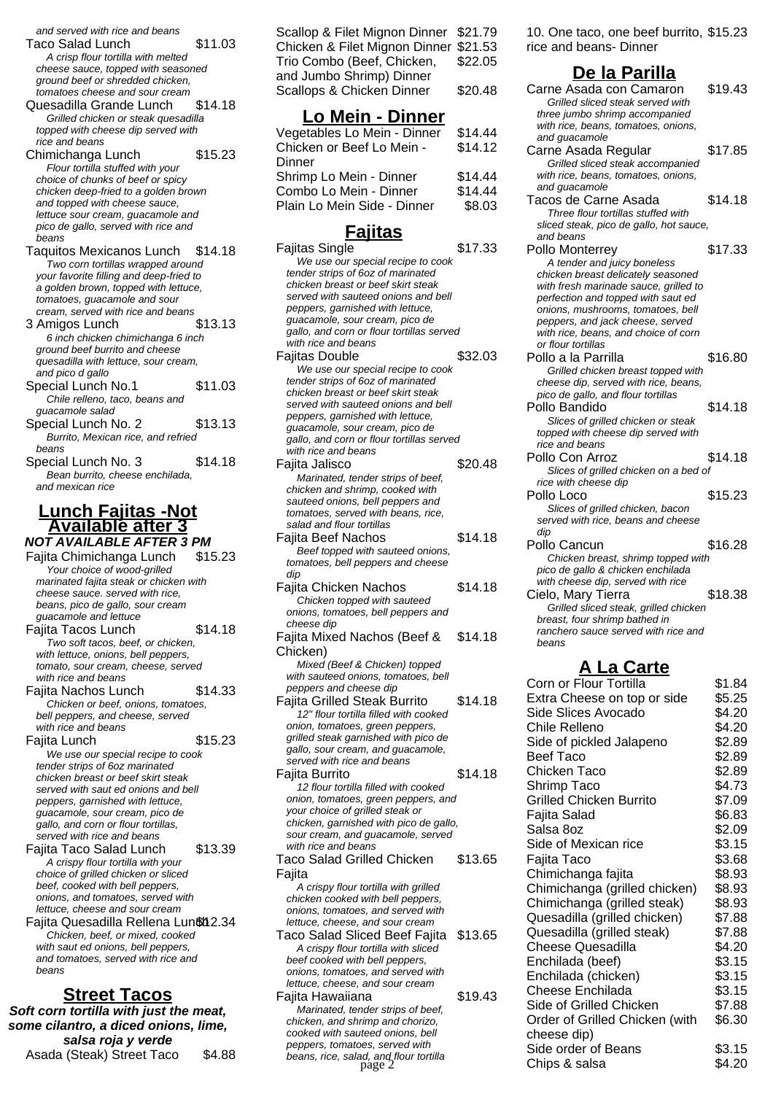and served with rice and beans Taco Salad Lunch \$11.03 A crisp flour tortilla with melted cheese sauce, topped with seasoned ground beef or shredded chicken,

tomatoes cheese and sour cream Quesadilla Grande Lunch \$14.18 Grilled chicken or steak quesadilla topped with cheese dip served with rice and beans

Chimichanga Lunch \$15.23 Flour tortilla stuffed with your choice of chunks of beef or spicy chicken deep-fried to a golden brown and topped with cheese sauce, lettuce sour cream, guacamole and pico de gallo, served with rice and beans

Taquitos Mexicanos Lunch \$14.18 Two corn tortillas wrapped around your favorite filling and deep-fried to a golden brown, topped with lettuce, tomatoes, guacamole and sour cream, served with rice and beans

- 3 Amigos Lunch \$13.13 6 inch chicken chimichanga 6 inch ground beef burrito and cheese quesadilla with lettuce, sour cream, and pico d gallo
- Special Lunch No.1 \$11.03 Chile relleno, taco, beans and guacamole salad
- Special Lunch No. 2 \$13.13 Burrito, Mexican rice, and refried beans
- Special Lunch No. 3 \$14.18 Bean burrito, cheese enchilada, and mexican rice

#### **Lunch Fajitas -Not Available after 3 NOT AVAILABLE AFTER 3 PM**

Fajita Chimichanga Lunch \$15.23 Your choice of wood-grilled marinated fajita steak or chicken with cheese sauce. served with rice, beans, pico de gallo, sour cream guacamole and lettuce Fajita Tacos Lunch \$14.18 Two soft tacos, beef, or chicken, with lettuce, onions, bell peppers, tomato, sour cream, cheese, served with rice and beans Fajita Nachos Lunch \$14.33 Chicken or beef, onions, tomatoes, bell peppers, and cheese, served with rice and beans Fajita Lunch \$15.23 We use our special recipe to cook tender strips of 6oz marinated chicken breast or beef skirt steak served with saut ed onions and bell peppers, garnished with lettuce, guacamole, sour cream, pico de gallo, and corn or flour tortillas, served with rice and beans Fajita Taco Salad Lunch \$13.39 A crispy flour tortilla with your choice of grilled chicken or sliced beef, cooked with bell peppers, onions, and tomatoes, served with lettuce, cheese and sour cream Fajita Quesadilla Rellena Lun&12.34 Chicken, beef, or mixed, cooked with saut ed onions, bell peppers, and tomatoes, served with rice and beans

## **Street Tacos**

**Soft corn tortilla with just the meat, some cilantro, a diced onions, lime, salsa roja y verde** Asada (Steak) Street Taco \$4.88

| Scallop & Filet Mignon Dinner \$21.79 |         |
|---------------------------------------|---------|
| Chicken & Filet Mignon Dinner \$21.53 |         |
| Trio Combo (Beef, Chicken,            | \$22.05 |
| and Jumbo Shrimp) Dinner              |         |
| Scallops & Chicken Dinner             | \$20.48 |
|                                       |         |

## **Lo Mein - Dinner**

| Vegetables Lo Mein - Dinner | \$14.44 |
|-----------------------------|---------|
| Chicken or Beef Lo Mein -   | \$14.12 |
| Dinner                      |         |
| Shrimp Lo Mein - Dinner     | \$14.44 |
| Combo Lo Mein - Dinner      | \$14.44 |
| Plain Lo Mein Side - Dinner | \$8.03  |

| <u>Fajitas</u>                                                            |         |
|---------------------------------------------------------------------------|---------|
| Fajitas Single                                                            | \$17.33 |
| We use our special recipe to cook                                         |         |
| tender strips of 6oz of marinated<br>chicken breast or beef skirt steak   |         |
| served with sauteed onions and bell                                       |         |
| peppers, garnished with lettuce,                                          |         |
| guacamole, sour cream, pico de                                            |         |
| gallo, and corn or flour tortillas served<br>with rice and beans          |         |
| Faiitas Double                                                            | \$32.03 |
| We use our special recipe to cook                                         |         |
| tender strips of 6oz of marinated                                         |         |
| chicken breast or beef skirt steak                                        |         |
| served with sauteed onions and bell<br>peppers, garnished with lettuce,   |         |
| guacamole, sour cream, pico de                                            |         |
| gallo, and corn or flour tortillas served                                 |         |
| with rice and beans                                                       |         |
| Fajita Jalisco                                                            | \$20.48 |
| Marinated, tender strips of beef,<br>chicken and shrimp, cooked with      |         |
| sauteed onions, bell peppers and                                          |         |
| tomatoes, served with beans, rice,                                        |         |
| salad and flour tortillas                                                 |         |
| Fajita Beef Nachos                                                        | \$14.18 |
| Beef topped with sauteed onions,<br>tomatoes, bell peppers and cheese     |         |
| dip                                                                       |         |
| Fajita Chicken Nachos                                                     | \$14.18 |
| Chicken topped with sauteed                                               |         |
| onions, tomatoes, bell peppers and                                        |         |
| cheese dip<br>Fajita Mixed Nachos (Beef &                                 | \$14.18 |
| Chicken)                                                                  |         |
| Mixed (Beef & Chicken) topped                                             |         |
| with sauteed onions, tomatoes, bell                                       |         |
| peppers and cheese dip                                                    |         |
| Fajita Grilled Steak Burrito                                              | \$14.18 |
| 12" flour tortilla filled with cooked                                     |         |
| onion, tomatoes, green peppers,<br>grilled steak garnished with pico de   |         |
| gallo, sour cream, and guacamole,                                         |         |
| served with rice and beans                                                |         |
| Fajita Burrito                                                            | \$14.18 |
| 12 flour tortilla filled with cooked                                      |         |
| onion, tomatoes, green peppers, and<br>your choice of grilled steak or    |         |
| chicken, garnished with pico de gallo,                                    |         |
| sour cream, and guacamole, served                                         |         |
| with rice and beans                                                       |         |
| <b>Taco Salad Grilled Chicken</b>                                         | \$13.65 |
| Fajita                                                                    |         |
| A crispy flour tortilla with grilled<br>chicken cooked with bell peppers, |         |
| onions, tomatoes, and served with                                         |         |
| lettuce, cheese, and sour cream                                           |         |
| Taco Salad Sliced Beef Fajita                                             | \$13.65 |
| A crispy flour tortilla with sliced<br>beef cooked with bell peppers,     |         |
| onions, tomatoes, and served with                                         |         |
| lettuce, cheese, and sour cream                                           |         |
| Fajita Hawaiiana                                                          | \$19.43 |
| Marinated, tender strips of beef,                                         |         |
| chicken, and shrimp and chorizo,<br>cooked with sauteed onions, hell      |         |

peppers, tomatoes, served with beans, rice, salad, and flour tortilla<br>page 2

10. One taco, one beef burrito, \$15.23 rice and beans- Dinner

## **De la Parilla**

| De la Parli                                                                                   |                  |
|-----------------------------------------------------------------------------------------------|------------------|
| Carne Asada con Camaron<br>Grilled sliced steak served with<br>three jumbo shrimp accompanied | \$19.43          |
| with rice, beans, tomatoes, onions,                                                           |                  |
| and guacamole<br>Carne Asada Regular                                                          | \$17.85          |
| Grilled sliced steak accompanied                                                              |                  |
| with rice, beans, tomatoes, onions,<br>and guacamole                                          |                  |
| Tacos de Carne Asada                                                                          | \$14.18          |
| Three flour tortillas stuffed with                                                            |                  |
| sliced steak, pico de gallo, hot sauce,<br>and beans                                          |                  |
| Pollo Monterrey                                                                               | \$17.33          |
| A tender and juicy boneless<br>chicken breast delicately seasoned                             |                  |
| with fresh marinade sauce, grilled to                                                         |                  |
| perfection and topped with saut ed<br>onions, mushrooms, tomatoes, bell                       |                  |
| peppers, and jack cheese, served<br>with rice, beans, and choice of corn                      |                  |
| or flour tortillas                                                                            |                  |
| Pollo a la Parrilla                                                                           | \$16.80          |
| Grilled chicken breast topped with<br>cheese dip, served with rice, beans,                    |                  |
| pico de gallo, and flour tortillas                                                            |                  |
| Pollo Bandido<br>Slices of grilled chicken or steak                                           | \$14.18          |
| topped with cheese dip served with                                                            |                  |
| rice and beans<br>Pollo Con Arroz                                                             | \$14.18          |
| Slices of grilled chicken on a bed of                                                         |                  |
| rice with cheese dip<br>Pollo Loco                                                            | \$15.23          |
| Slices of grilled chicken, bacon                                                              |                  |
| served with rice, beans and cheese<br>dip                                                     |                  |
| Pollo Cancun                                                                                  | \$16.28          |
| Chicken breast, shrimp topped with<br>pico de gallo & chicken enchilada                       |                  |
| with cheese dip, served with rice                                                             |                  |
| Cielo, Mary Tierra                                                                            | \$18.38          |
| Grilled sliced steak, grilled chicken<br>breast, four shrimp bathed in                        |                  |
| ranchero sauce served with rice and<br>beans                                                  |                  |
|                                                                                               |                  |
| A La Carte                                                                                    |                  |
| Corn or Flour Tortilla<br>Extra Cheese on top or side                                         | \$1.84<br>\$5.25 |
| Side Slices Avocado                                                                           | \$4.20           |
|                                                                                               |                  |
| Chile Relleno                                                                                 | \$4.20           |
| Side of pickled Jalapeno                                                                      | \$2.89           |
| <b>Beef Taco</b>                                                                              | \$2.89           |
| Chicken Taco                                                                                  | \$2.89           |
| Shrimp Taco<br><b>Grilled Chicken Burrito</b>                                                 | \$4.73<br>\$7.09 |
| Fajita Salad                                                                                  | \$6.83           |
| Salsa 8oz                                                                                     | \$2.09           |
| Side of Mexican rice                                                                          | \$3.15           |
| Fajita Taco<br>Chimichanga fajita                                                             | \$3.68<br>\$8.93 |
| Chimichanga (grilled chicken)                                                                 | \$8.93           |
| Chimichanga (grilled steak)                                                                   | \$8.93           |
| Quesadilla (grilled chicken)                                                                  | \$7.88           |
| Quesadilla (grilled steak)<br><b>Cheese Quesadilla</b>                                        | \$7.88<br>\$4.20 |
| Enchilada (beef)<br>Enchilada (chicken)                                                       | \$3.15<br>\$3.15 |

Cheese Enchilada  $$3.15$ <br>Side of Grilled Chicken  $$7.88$ 

Side order of Beans \$3.15 Page 2 Chips & salsa \$4.20

\$6.30

Side of Grilled Chicken Order of Grilled Chicken (with

cheese dip)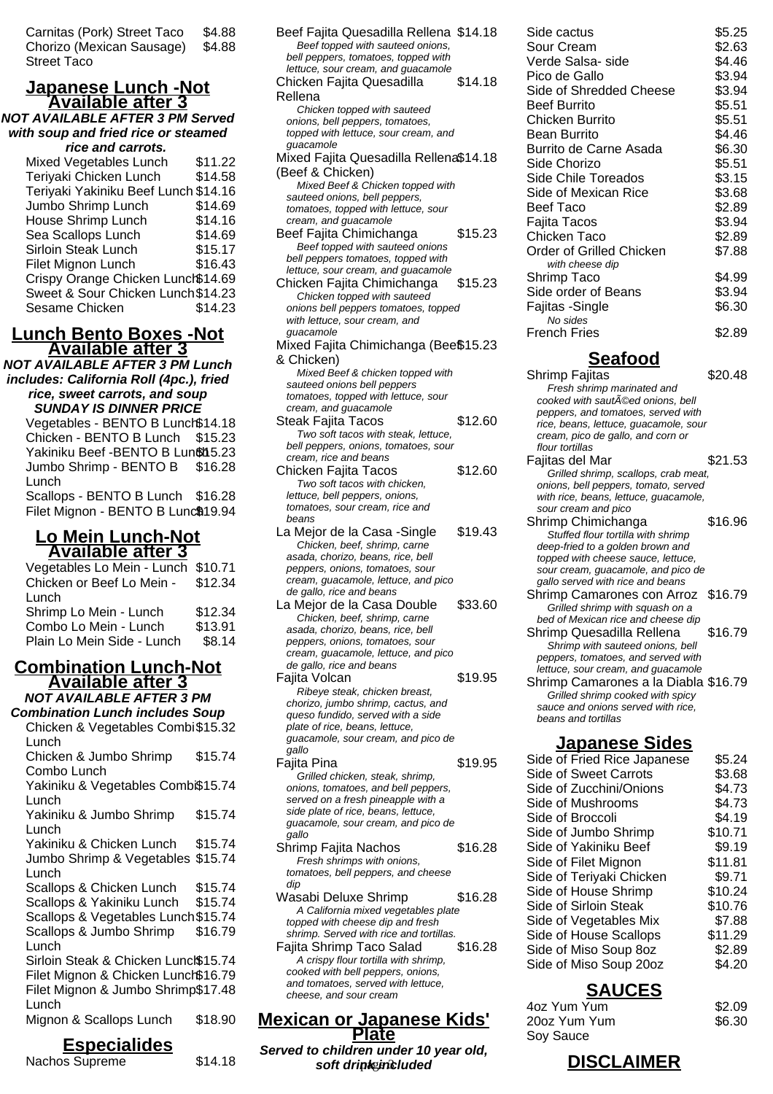Carnitas (Pork) Street Taco \$4.88 Chorizo (Mexican Sausage) Street Taco \$4.88

#### **Japanese Lunch -Not Available after 3**

**NOT AVAILABLE AFTER 3 PM Served with soup and fried rice or steamed**

| rice and carrots.                    |         |  |
|--------------------------------------|---------|--|
| Mixed Vegetables Lunch               | \$11.22 |  |
| Teriyaki Chicken Lunch               | \$14.58 |  |
| Teriyaki Yakiniku Beef Lunch \$14.16 |         |  |
| Jumbo Shrimp Lunch                   | \$14.69 |  |
| House Shrimp Lunch                   | \$14.16 |  |
| Sea Scallops Lunch                   | \$14.69 |  |
| <b>Sirloin Steak Lunch</b>           | \$15.17 |  |
| Filet Mignon Lunch                   | \$16.43 |  |
| Crispy Orange Chicken Lunch\$14.69   |         |  |
| Sweet & Sour Chicken Lunch \$14.23   |         |  |
| Sesame Chicken                       | \$14.23 |  |

#### **Lunch Bento Boxes -Not Available after 3**

**NOT AVAILABLE AFTER 3 PM Lunch includes: California Roll (4pc.), fried rice, sweet carrots, and soup SUNDAY IS DINNER PRICE**

Vegetables - BENTO B Lunch\$14.18 Chicken - BENTO B Lunch \$15.23 Yakiniku Beef - BENTO B Lun \$15.23 Jumbo Shrimp - BENTO B **Lunch** \$16.28

Scallops - BENTO B Lunch \$16.28 Filet Mignon - BENTO B Lunc®19.94

#### **Lo Mein Lunch-Not Available after 3**

Vegetables Lo Mein - Lunch \$10.71 Chicken or Beef Lo Mein - Lunch \$12.34 Shrimp Lo Mein - Lunch \$12.34 Combo Lo Mein - Lunch \$13.91 Plain Lo Mein Side - Lunch \$8.14

### **Combination Lunch-Not Available after 3**

**NOT AVAILABLE AFTER 3 PM Combination Lunch includes Soup**

Chicken & Vegetables Combi \$15.32 Lunch Chicken & Jumbo Shrimp Combo Lunch \$15.74 Yakiniku & Vegetables Combi \$15.74 Lunch Yakiniku & Jumbo Shrimp Lunch \$15.74 Yakiniku & Chicken Lunch \$15.74

- Jumbo Shrimp & Vegetables \$15.74 Lunch Scallops & Chicken Lunch \$15.74 Scallops & Yakiniku Lunch \$15.74 Scallops & Vegetables Lunch\$15.74
- Scallops & Jumbo Shrimp Lunch \$16.79 Sirloin Steak & Chicken Luncl\$15.74

Filet Mignon & Chicken Lunch\$16.79 Filet Mignon & Jumbo Shrimp \$17.48 Lunch

| Mignon & Scallops Lunch | \$18.90 |
|-------------------------|---------|
|                         |         |

## **Especialides**

Nachos Supreme \$14.18

Beef Fajita Quesadilla Rellena \$14.18 Beef topped with sauteed onions, bell peppers, tomatoes, topped with lettuce, sour cream, and guacamole Chicken Fajita Quesadilla Rellena \$14.18 Chicken topped with sauteed onions, bell peppers, tomatoes, topped with lettuce, sour cream, and guacamole Mixed Fajita Quesadilla Rellena \$14.18 (Beef & Chicken) Mixed Beef & Chicken topped with sauteed onions, bell peppers, tomatoes, topped with lettuce, sour cream, and guacamole Beef Fajita Chimichanga \$15.23 Beef topped with sauteed onions bell peppers tomatoes, topped with lettuce, sour cream, and guacamole Chicken Fajita Chimichanga \$15.23 Chicken topped with sauteed onions bell peppers tomatoes, topped with lettuce, sour cream, and guacamole Mixed Fajita Chimichanga (Beef \$15.23 & Chicken) Mixed Beef & chicken topped with sauteed onions bell peppers tomatoes, topped with lettuce, sour cream, and guacamole Steak Fajita Tacos \$12.60 Two soft tacos with steak, lettuce, bell peppers, onions, tomatoes, sour cream, rice and beans Chicken Fajita Tacos \$12.60 Two soft tacos with chicken, lettuce, bell peppers, onions, tomatoes, sour cream, rice and beans La Mejor de la Casa -Single \$19.43 Chicken, beef, shrimp, carne asada, chorizo, beans, rice, bell peppers, onions, tomatoes, sour cream, guacamole, lettuce, and pico de gallo, rice and beans La Mejor de la Casa Double \$33.60 Chicken, beef, shrimp, carne asada, chorizo, beans, rice, bell peppers, onions, tomatoes, sour cream, guacamole, lettuce, and pico de gallo, rice and beans Fajita Volcan \$19.95

Ribeye steak, chicken breast, chorizo, jumbo shrimp, cactus, and queso fundido, served with a side plate of rice, beans, lettuce, guacamole, sour cream, and pico de gallo

- Fajita Pina  $$19.95$ Grilled chicken, steak, shrimp, onions, tomatoes, and bell peppers, served on a fresh pineapple with a side plate of rice, beans, lettuce, guacamole, sour cream, and pico de gallo
- Shrimp Fajita Nachos \$16.28 Fresh shrimps with onions, tomatoes, bell peppers, and cheese dip
- Wasabi Deluxe Shrimp \$16.28 A California mixed vegetables plate topped with cheese dip and fresh shrimp. Served with rice and tortillas. Fajita Shrimp Taco Salad \$16.28 A crispy flour tortilla with shrimp,

cooked with bell peppers, onions, and tomatoes, served with lettuce, cheese, and sour cream

#### **Mexican or Japanese Kids' Plate**

**Served to children under 10 year old, soft drink included**

| Side cactus              | \$5.25 |
|--------------------------|--------|
| Sour Cream               | \$2.63 |
| Verde Salsa- side        | \$4.46 |
| Pico de Gallo            | \$3.94 |
| Side of Shredded Cheese  | \$3.94 |
| Beef Burrito             | \$5.51 |
| Chicken Burrito          | \$5.51 |
| Bean Burrito             | \$4.46 |
| Burrito de Carne Asada   | \$6.30 |
| Side Chorizo             | \$5.51 |
| Side Chile Toreados      | \$3.15 |
| Side of Mexican Rice     | \$3.68 |
| Beef Taco                | \$2.89 |
| Fajita Tacos             | \$3.94 |
| Chicken Taco             | \$2.89 |
| Order of Grilled Chicken | \$7.88 |
| with cheese dip          |        |
| Shrimp Taco              | \$4.99 |
| Side order of Beans      | \$3.94 |
| Fajitas -Single          | \$6.30 |
| No sides                 |        |
| French Fries             | \$2.89 |

## **Seafood**

| Shrimp Fajitas                        | \$20.48 |
|---------------------------------------|---------|
| Fresh shrimp marinated and            |         |
| cooked with sautA©ed onions, bell     |         |
| peppers, and tomatoes, served with    |         |
| rice, beans, lettuce, guacamole, sour |         |
| cream, pico de gallo, and corn or     |         |
| flour tortillas                       |         |
| Fajitas del Mar                       | \$21.53 |
| Grilled shrimp, scallops, crab meat,  |         |
| onions, bell peppers, tomato, served  |         |
| with rice, beans, lettuce, guacamole, |         |
| sour cream and pico                   |         |
| Shrimp Chimichanga                    | \$16.96 |
| Stuffed flour tortilla with shrimp    |         |
| deep-fried to a golden brown and      |         |
| topped with cheese sauce, lettuce,    |         |
| sour cream, guacamole, and pico de    |         |
| gallo served with rice and beans      |         |
| Shrimp Camarones con Arroz \$16.79    |         |
| Grilled shrimp with squash on a       |         |
| bed of Mexican rice and cheese dip    |         |
| Shrimp Quesadilla Rellena             | \$16.79 |
| Shrimp with sauteed onions, bell      |         |
| peppers, tomatoes, and served with    |         |
| lettuce, sour cream, and guacamole    |         |
| Shrimp Camarones a la Diabla \$16.79  |         |
| Grilled shrimp cooked with spicy      |         |
| sauce and onions served with rice.    |         |
| beans and tortillas                   |         |
|                                       |         |

## **Japanese Sides**

| Side of Fried Rice Japanese | \$5.24  |
|-----------------------------|---------|
| Side of Sweet Carrots       | \$3.68  |
| Side of Zucchini/Onions     | \$4.73  |
| Side of Mushrooms           | \$4.73  |
| Side of Broccoli            | \$4.19  |
| Side of Jumbo Shrimp        | \$10.71 |
| Side of Yakiniku Beef       | \$9.19  |
| Side of Filet Mignon        | \$11.81 |
| Side of Teriyaki Chicken    | \$9.71  |
| Side of House Shrimp        | \$10.24 |
| Side of Sirloin Steak       | \$10.76 |
| Side of Vegetables Mix      | \$7.88  |
| Side of House Scallops      | \$11.29 |
| Side of Miso Soup 8oz       | \$2.89  |
| Side of Miso Soup 20oz      | \$4.20  |
|                             |         |

## **SAUCES**

| 4oz Yum Yum  | \$2.09 |
|--------------|--------|
| 20oz Yum Yum | \$6.30 |
| Sov Sauce    |        |